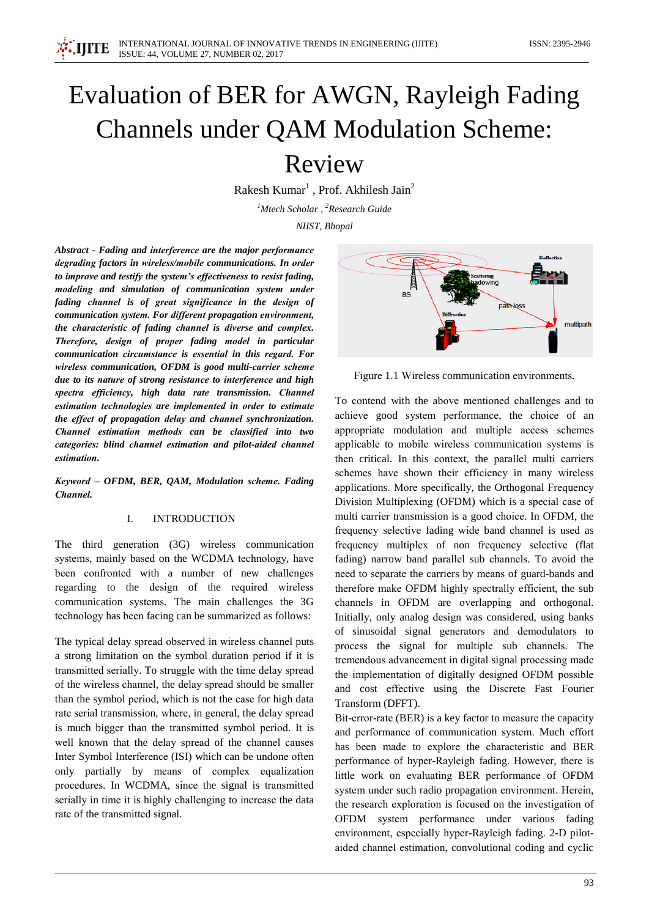

# Evaluation of BER for AWGN, Rayleigh Fading **Channels under QAM Modulation Scheme:**

## Review

Rakesh Kumar<sup>1</sup>, Prof. Akhilesh Jain<sup>2</sup>

<sup>1</sup>Mtech Scholar, <sup>2</sup>Research Guide

NIIST, Bhopal

Abstract - Fading and interference are the major performance degrading factors in wireless/mobile communications. In order to improve and testify the system's effectiveness to resist fading, modeling and simulation of communication system under fading channel is of great significance in the design of communication system. For different propagation environment, the characteristic of fading channel is diverse and complex. Therefore, design of proper fading model in particular communication circumstance is essential in this regard. For wireless communication, OFDM is good multi-carrier scheme due to its nature of strong resistance to interference and high spectra efficiency, high data rate transmission. Channel estimation technologies are implemented in order to estimate the effect of propagation delay and channel synchronization. Channel estimation methods can be classified into two categories: blind channel estimation and pilot-aided channel estimation.

Keyword - OFDM, BER, QAM, Modulation scheme. Fading Channel.

#### $\mathbf{I}$ . **INTRODUCTION**

The third generation (3G) wireless communication systems, mainly based on the WCDMA technology, have been confronted with a number of new challenges regarding to the design of the required wireless communication systems. The main challenges the 3G technology has been facing can be summarized as follows:

The typical delay spread observed in wireless channel puts a strong limitation on the symbol duration period if it is transmitted serially. To struggle with the time delay spread of the wireless channel, the delay spread should be smaller than the symbol period, which is not the case for high data rate serial transmission, where, in general, the delay spread is much bigger than the transmitted symbol period. It is well known that the delay spread of the channel causes Inter Symbol Interference (ISI) which can be undone often only partially by means of complex equalization procedures. In WCDMA, since the signal is transmitted serially in time it is highly challenging to increase the data rate of the transmitted signal.



Figure 1.1 Wireless communication environments.

To contend with the above mentioned challenges and to achieve good system performance, the choice of an appropriate modulation and multiple access schemes applicable to mobile wireless communication systems is then critical. In this context, the parallel multi carriers schemes have shown their efficiency in many wireless applications. More specifically, the Orthogonal Frequency Division Multiplexing (OFDM) which is a special case of multi carrier transmission is a good choice. In OFDM, the frequency selective fading wide band channel is used as frequency multiplex of non frequency selective (flat fading) narrow band parallel sub channels. To avoid the need to separate the carriers by means of guard-bands and therefore make OFDM highly spectrally efficient, the sub channels in OFDM are overlapping and orthogonal. Initially, only analog design was considered, using banks of sinusoidal signal generators and demodulators to process the signal for multiple sub channels. The tremendous advancement in digital signal processing made the implementation of digitally designed OFDM possible and cost effective using the Discrete Fast Fourier Transform (DFFT).

Bit-error-rate (BER) is a key factor to measure the capacity and performance of communication system. Much effort has been made to explore the characteristic and BER performance of hyper-Rayleigh fading. However, there is little work on evaluating BER performance of OFDM system under such radio propagation environment. Herein, the research exploration is focused on the investigation of OFDM system performance under various fading environment, especially hyper-Rayleigh fading. 2-D pilotaided channel estimation, convolutional coding and cyclic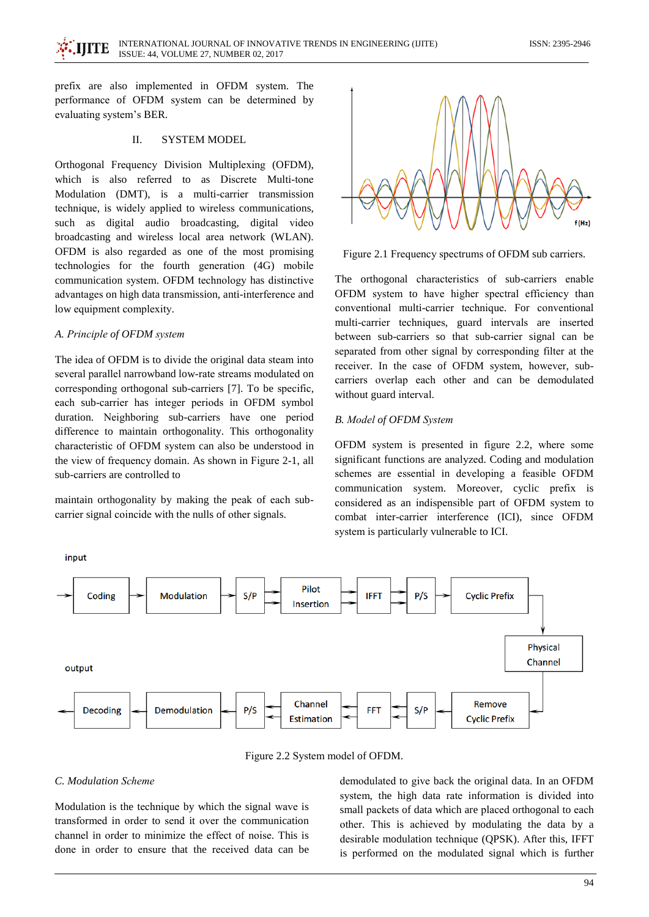prefix are also implemented in OFDM system. The performance of OFDM system can be determined by evaluating system's BER.

#### **SYSTEM MODEL** II.

Orthogonal Frequency Division Multiplexing (OFDM). which is also referred to as Discrete Multi-tone Modulation (DMT), is a multi-carrier transmission technique, is widely applied to wireless communications, such as digital audio broadcasting, digital video broadcasting and wireless local area network (WLAN). OFDM is also regarded as one of the most promising technologies for the fourth generation (4G) mobile communication system. OFDM technology has distinctive advantages on high data transmission, anti-interference and low equipment complexity.

#### A. Principle of OFDM system

The idea of OFDM is to divide the original data steam into several parallel narrowband low-rate streams modulated on corresponding orthogonal sub-carriers [7]. To be specific, each sub-carrier has integer periods in OFDM symbol duration. Neighboring sub-carriers have one period difference to maintain orthogonality. This orthogonality characteristic of OFDM system can also be understood in the view of frequency domain. As shown in Figure 2-1, all sub-carriers are controlled to

maintain orthogonality by making the peak of each subcarrier signal coincide with the nulls of other signals.



Figure 2.1 Frequency spectrums of OFDM sub carriers.

The orthogonal characteristics of sub-carriers enable OFDM system to have higher spectral efficiency than conventional multi-carrier technique. For conventional multi-carrier techniques, guard intervals are inserted between sub-carriers so that sub-carrier signal can be separated from other signal by corresponding filter at the receiver. In the case of OFDM system, however, subcarriers overlap each other and can be demodulated without guard interval.

### **B.** Model of OFDM System

OFDM system is presented in figure 2.2, where some significant functions are analyzed. Coding and modulation schemes are essential in developing a feasible OFDM communication system. Moreover, cyclic prefix is considered as an indispensible part of OFDM system to combat inter-carrier interference (ICI), since OFDM system is particularly vulnerable to ICI.

Pilot Coding **Modulation**  $P/S$ **Cyclic Prefix**  $S/P$ **IFFT** Insertion **Physical** Channel output Remove Channel **Decoding** Demodulation  $P/S$  $S/P$ **FFT Estimation Cyclic Prefix** 

Figure 2.2 System model of OFDM.

## C. Modulation Scheme

input

Modulation is the technique by which the signal wave is transformed in order to send it over the communication channel in order to minimize the effect of noise. This is done in order to ensure that the received data can be

demodulated to give back the original data. In an OFDM system, the high data rate information is divided into small packets of data which are placed orthogonal to each other. This is achieved by modulating the data by a desirable modulation technique (QPSK). After this, IFFT is performed on the modulated signal which is further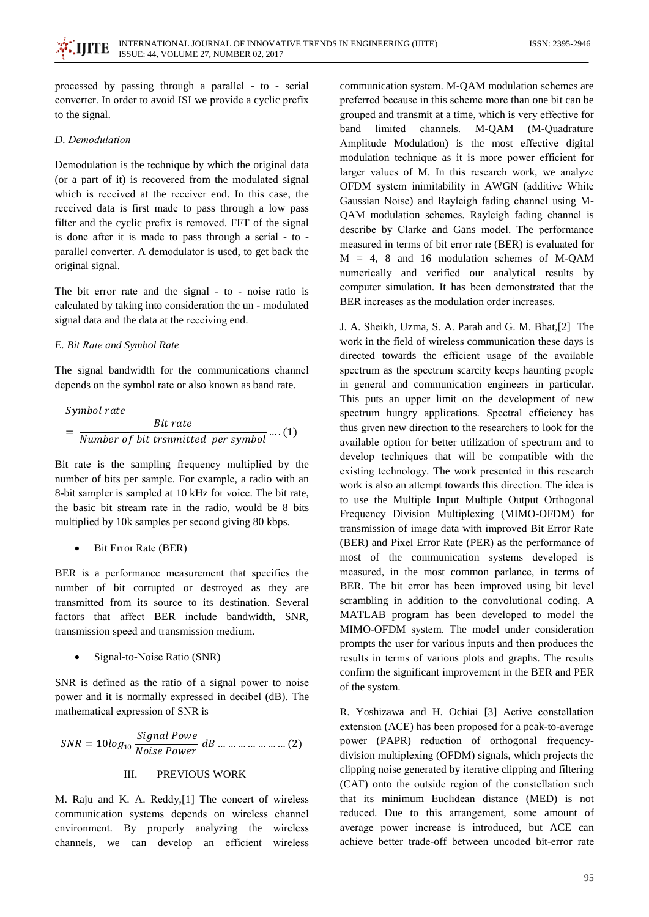processed by passing through a parallel - to - serial converter. In order to avoid ISI we provide a cyclic prefix to the signal.

## D. Demodulation

Demodulation is the technique by which the original data (or a part of it) is recovered from the modulated signal which is received at the receiver end. In this case, the received data is first made to pass through a low pass filter and the cyclic prefix is removed. FFT of the signal is done after it is made to pass through a serial - to parallel converter. A demodulator is used, to get back the original signal.

The bit error rate and the signal - to - noise ratio is calculated by taking into consideration the un - modulated signal data and the data at the receiving end.

## E. Bit Rate and Symbol Rate

The signal bandwidth for the communications channel depends on the symbol rate or also known as band rate.

Symbol rate  
= 
$$
\frac{Bit \ rate}{Number \ of \ bit \ transmitted \ per \ symbol} \dots (1)
$$

Bit rate is the sampling frequency multiplied by the number of bits per sample. For example, a radio with an 8-bit sampler is sampled at 10 kHz for voice. The bit rate, the basic bit stream rate in the radio, would be 8 bits multiplied by 10k samples per second giving 80 kbps.

```
Bit Error Rate (BER)
```
BER is a performance measurement that specifies the number of bit corrupted or destroyed as they are transmitted from its source to its destination. Several factors that affect BER include bandwidth, SNR, transmission speed and transmission medium.

Signal-to-Noise Ratio (SNR)

SNR is defined as the ratio of a signal power to noise power and it is normally expressed in decibel (dB). The mathematical expression of SNR is

$$
SNR = 10log_{10} \frac{Signal \, Power}{Noise \, Power} \, dB \, \dots \, \dots \, \dots \, \dots \, \dots \, \dots \, (2)
$$
\nIII. PREVIOUS WORK

M. Raju and K. A. Reddy, [1] The concert of wireless communication systems depends on wireless channel environment. By properly analyzing the wireless channels, we can develop an efficient wireless communication system. M-OAM modulation schemes are preferred because in this scheme more than one bit can be grouped and transmit at a time, which is very effective for M-OAM band limited channels. (M-Ouadrature Amplitude Modulation) is the most effective digital modulation technique as it is more power efficient for larger values of M. In this research work, we analyze OFDM system inimitability in AWGN (additive White Gaussian Noise) and Rayleigh fading channel using M-QAM modulation schemes. Rayleigh fading channel is describe by Clarke and Gans model. The performance measured in terms of bit error rate (BER) is evaluated for  $M = 4$ , 8 and 16 modulation schemes of M-OAM numerically and verified our analytical results by computer simulation. It has been demonstrated that the BER increases as the modulation order increases.

J. A. Sheikh, Uzma, S. A. Parah and G. M. Bhat, [2] The work in the field of wireless communication these days is directed towards the efficient usage of the available spectrum as the spectrum scarcity keeps haunting people in general and communication engineers in particular. This puts an upper limit on the development of new spectrum hungry applications. Spectral efficiency has thus given new direction to the researchers to look for the available option for better utilization of spectrum and to develop techniques that will be compatible with the existing technology. The work presented in this research work is also an attempt towards this direction. The idea is to use the Multiple Input Multiple Output Orthogonal Frequency Division Multiplexing (MIMO-OFDM) for transmission of image data with improved Bit Error Rate (BER) and Pixel Error Rate (PER) as the performance of most of the communication systems developed is measured, in the most common parlance, in terms of BER. The bit error has been improved using bit level scrambling in addition to the convolutional coding. A MATLAB program has been developed to model the MIMO-OFDM system. The model under consideration prompts the user for various inputs and then produces the results in terms of various plots and graphs. The results confirm the significant improvement in the BER and PER of the system.

R. Yoshizawa and H. Ochiai [3] Active constellation extension (ACE) has been proposed for a peak-to-average power (PAPR) reduction of orthogonal frequencydivision multiplexing (OFDM) signals, which projects the clipping noise generated by iterative clipping and filtering (CAF) onto the outside region of the constellation such that its minimum Euclidean distance (MED) is not reduced. Due to this arrangement, some amount of average power increase is introduced, but ACE can achieve better trade-off between uncoded bit-error rate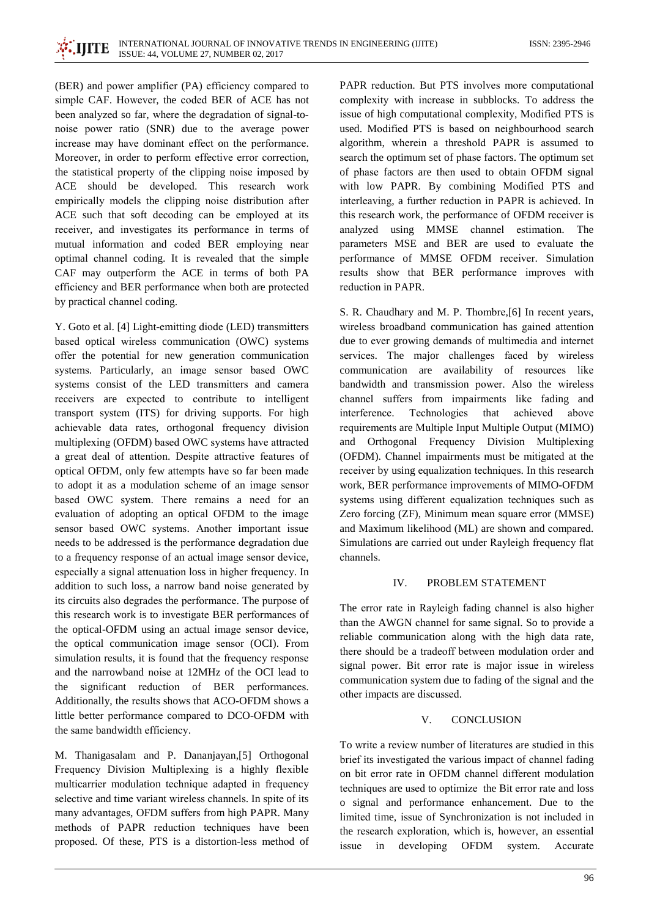(BER) and power amplifier (PA) efficiency compared to simple CAF. However, the coded BER of ACE has not been analyzed so far, where the degradation of signal-tonoise power ratio (SNR) due to the average power increase may have dominant effect on the performance. Moreover, in order to perform effective error correction, the statistical property of the clipping noise imposed by ACE should be developed. This research work empirically models the clipping noise distribution after ACE such that soft decoding can be employed at its receiver, and investigates its performance in terms of mutual information and coded BER employing near optimal channel coding. It is revealed that the simple CAF may outperform the ACE in terms of both PA efficiency and BER performance when both are protected by practical channel coding.

Y. Goto et al. [4] Light-emitting diode (LED) transmitters based optical wireless communication (OWC) systems offer the potential for new generation communication systems. Particularly, an image sensor based OWC systems consist of the LED transmitters and camera receivers are expected to contribute to intelligent transport system (ITS) for driving supports. For high achievable data rates, orthogonal frequency division multiplexing (OFDM) based OWC systems have attracted a great deal of attention. Despite attractive features of optical OFDM, only few attempts have so far been made to adopt it as a modulation scheme of an image sensor based OWC system. There remains a need for an evaluation of adopting an optical OFDM to the image sensor based OWC systems. Another important issue needs to be addressed is the performance degradation due to a frequency response of an actual image sensor device, especially a signal attenuation loss in higher frequency. In addition to such loss, a narrow band noise generated by its circuits also degrades the performance. The purpose of this research work is to investigate BER performances of the optical-OFDM using an actual image sensor device, the optical communication image sensor (OCI). From simulation results, it is found that the frequency response and the narrowband noise at 12MHz of the OCI lead to significant reduction of BER performances. the Additionally, the results shows that ACO-OFDM shows a little better performance compared to DCO-OFDM with the same bandwidth efficiency.

M. Thanigasalam and P. Dananjayan,[5] Orthogonal Frequency Division Multiplexing is a highly flexible multicarrier modulation technique adapted in frequency selective and time variant wireless channels. In spite of its many advantages, OFDM suffers from high PAPR. Many methods of PAPR reduction techniques have been proposed. Of these, PTS is a distortion-less method of PAPR reduction. But PTS involves more computational complexity with increase in subblocks. To address the issue of high computational complexity, Modified PTS is used. Modified PTS is based on neighbourhood search algorithm, wherein a threshold PAPR is assumed to search the optimum set of phase factors. The optimum set of phase factors are then used to obtain OFDM signal with low PAPR. By combining Modified PTS and interleaving, a further reduction in PAPR is achieved. In this research work, the performance of OFDM receiver is analyzed using MMSE channel estimation. The parameters MSE and BER are used to evaluate the performance of MMSE OFDM receiver. Simulation results show that BER performance improves with reduction in PAPR.

S. R. Chaudhary and M. P. Thombre, [6] In recent years, wireless broadband communication has gained attention due to ever growing demands of multimedia and internet services. The major challenges faced by wireless communication are availability of resources like bandwidth and transmission power. Also the wireless channel suffers from impairments like fading and interference. Technologies that achieved above requirements are Multiple Input Multiple Output (MIMO) and Orthogonal Frequency Division Multiplexing (OFDM). Channel impairments must be mitigated at the receiver by using equalization techniques. In this research work, BER performance improvements of MIMO-OFDM systems using different equalization techniques such as Zero forcing (ZF), Minimum mean square error (MMSE) and Maximum likelihood (ML) are shown and compared. Simulations are carried out under Rayleigh frequency flat channels.

#### $IV.$ PROBLEM STATEMENT

The error rate in Rayleigh fading channel is also higher than the AWGN channel for same signal. So to provide a reliable communication along with the high data rate, there should be a tradeoff between modulation order and signal power. Bit error rate is major issue in wireless communication system due to fading of the signal and the other impacts are discussed.

#### $\mathbf{V}$ **CONCLUSION**

To write a review number of literatures are studied in this brief its investigated the various impact of channel fading on bit error rate in OFDM channel different modulation techniques are used to optimize the Bit error rate and loss o signal and performance enhancement. Due to the limited time, issue of Synchronization is not included in the research exploration, which is, however, an essential issue  $in$ developing OFDM system. Accurate